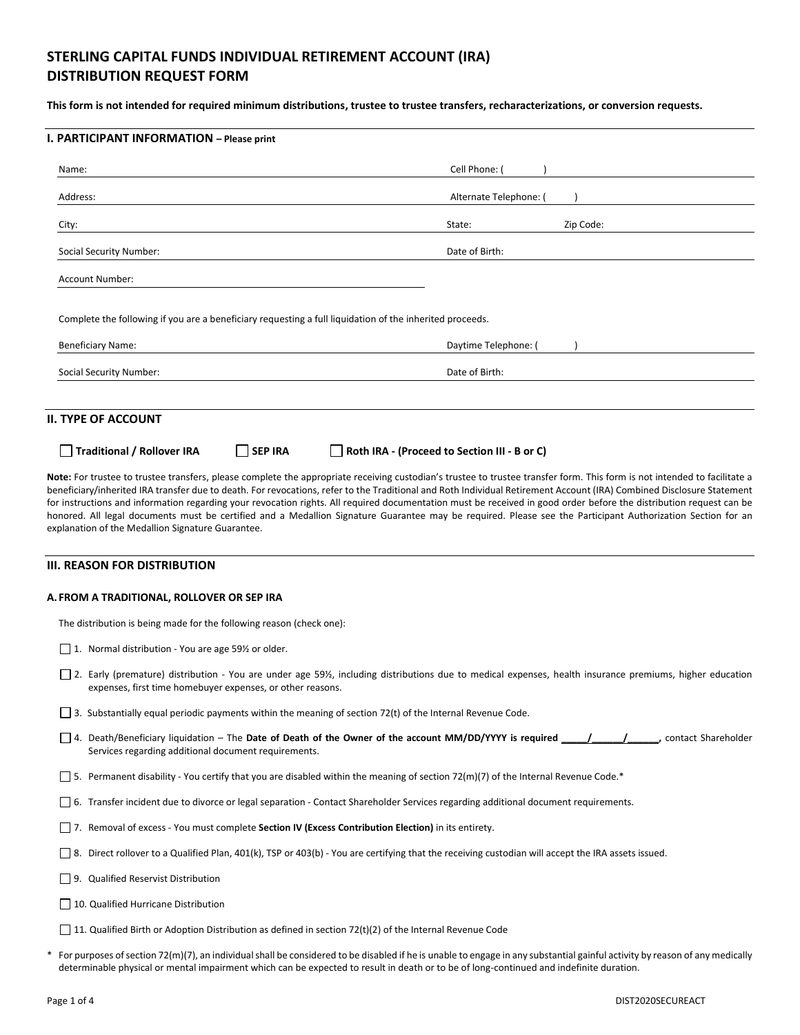# **STERLING CAPITAL FUNDS INDIVIDUAL RETIREMENT ACCOUNT (IRA) DISTRIBUTION REQUEST FORM**

**This form is not intended for required minimum distributions, trustee to trustee transfers, recharacterizations, or conversion requests.**

| I. PARTICIPANT INFORMATION - Please print                                                                                                                                                                                                                                                                                                                                                                                                                                                                                                                                                                                                                                                                                                     |                                              |
|-----------------------------------------------------------------------------------------------------------------------------------------------------------------------------------------------------------------------------------------------------------------------------------------------------------------------------------------------------------------------------------------------------------------------------------------------------------------------------------------------------------------------------------------------------------------------------------------------------------------------------------------------------------------------------------------------------------------------------------------------|----------------------------------------------|
| Name:                                                                                                                                                                                                                                                                                                                                                                                                                                                                                                                                                                                                                                                                                                                                         | Cell Phone:                                  |
| Address:                                                                                                                                                                                                                                                                                                                                                                                                                                                                                                                                                                                                                                                                                                                                      | Alternate Telephone: (                       |
| City:                                                                                                                                                                                                                                                                                                                                                                                                                                                                                                                                                                                                                                                                                                                                         | Zip Code:<br>State:                          |
| Social Security Number:                                                                                                                                                                                                                                                                                                                                                                                                                                                                                                                                                                                                                                                                                                                       | Date of Birth:                               |
| <b>Account Number:</b>                                                                                                                                                                                                                                                                                                                                                                                                                                                                                                                                                                                                                                                                                                                        |                                              |
| Complete the following if you are a beneficiary requesting a full liquidation of the inherited proceeds.                                                                                                                                                                                                                                                                                                                                                                                                                                                                                                                                                                                                                                      |                                              |
| <b>Beneficiary Name:</b>                                                                                                                                                                                                                                                                                                                                                                                                                                                                                                                                                                                                                                                                                                                      | Daytime Telephone: (                         |
| Social Security Number:                                                                                                                                                                                                                                                                                                                                                                                                                                                                                                                                                                                                                                                                                                                       | Date of Birth:                               |
|                                                                                                                                                                                                                                                                                                                                                                                                                                                                                                                                                                                                                                                                                                                                               |                                              |
| II. TYPE OF ACCOUNT                                                                                                                                                                                                                                                                                                                                                                                                                                                                                                                                                                                                                                                                                                                           |                                              |
| <b>Traditional / Rollover IRA</b><br><b>SEP IRA</b>                                                                                                                                                                                                                                                                                                                                                                                                                                                                                                                                                                                                                                                                                           | Roth IRA - (Proceed to Section III - B or C) |
| Note: For trustee to trustee transfers, please complete the appropriate receiving custodian's trustee to trustee transfer form. This form is not intended to facilitate a<br>beneficiary/inherited IRA transfer due to death. For revocations, refer to the Traditional and Roth Individual Retirement Account (IRA) Combined Disclosure Statement<br>for instructions and information regarding your revocation rights. All required documentation must be received in good order before the distribution request can be<br>honored. All legal documents must be certified and a Medallion Signature Guarantee may be required. Please see the Participant Authorization Section for an<br>explanation of the Medallion Signature Guarantee. |                                              |

## **III. REASON FOR DISTRIBUTION**

### **A. FROM A TRADITIONAL, ROLLOVER OR SEP IRA**

The distribution is being made for the following reason (check one):

- □ 1. Normal distribution You are age 59½ or older.
- □ 2. Early (premature) distribution You are under age 59½, including distributions due to medical expenses, health insurance premiums, higher education expenses, first time homebuyer expenses, or other reasons.
- 3. Substantially equal periodic payments within the meaning of section 72(t) of the Internal Revenue Code.
- 4. Death/Beneficiary liquidation The **Date of Death of the Owner of the account MM/DD/YYYY is required \_\_\_\_\_/\_\_\_\_\_\_/\_\_\_\_\_\_,** contact Shareholder Services regarding additional document requirements.
- $\square$  5. Permanent disability You certify that you are disabled within the meaning of section 72(m)(7) of the Internal Revenue Code.\*
- 6. Transfer incident due to divorce or legal separation Contact Shareholder Services regarding additional document requirements.
- 7. Removal of excess You must complete **Section IV (Excess Contribution Election)** in its entirety.
- 8. Direct rollover to a Qualified Plan, 401(k), TSP or 403(b) You are certifying that the receiving custodian will accept the IRA assets issued.
- 9. Qualified Reservist Distribution
- 10. Qualified Hurricane Distribution
- 11. Qualified Birth or Adoption Distribution as defined in section 72(t)(2) of the Internal Revenue Code
- \* For purposes of section 72(m)(7), an individual shall be considered to be disabled if he is unable to engage in any substantial gainful activity by reason of any medically determinable physical or mental impairment which can be expected to result in death or to be of long-continued and indefinite duration.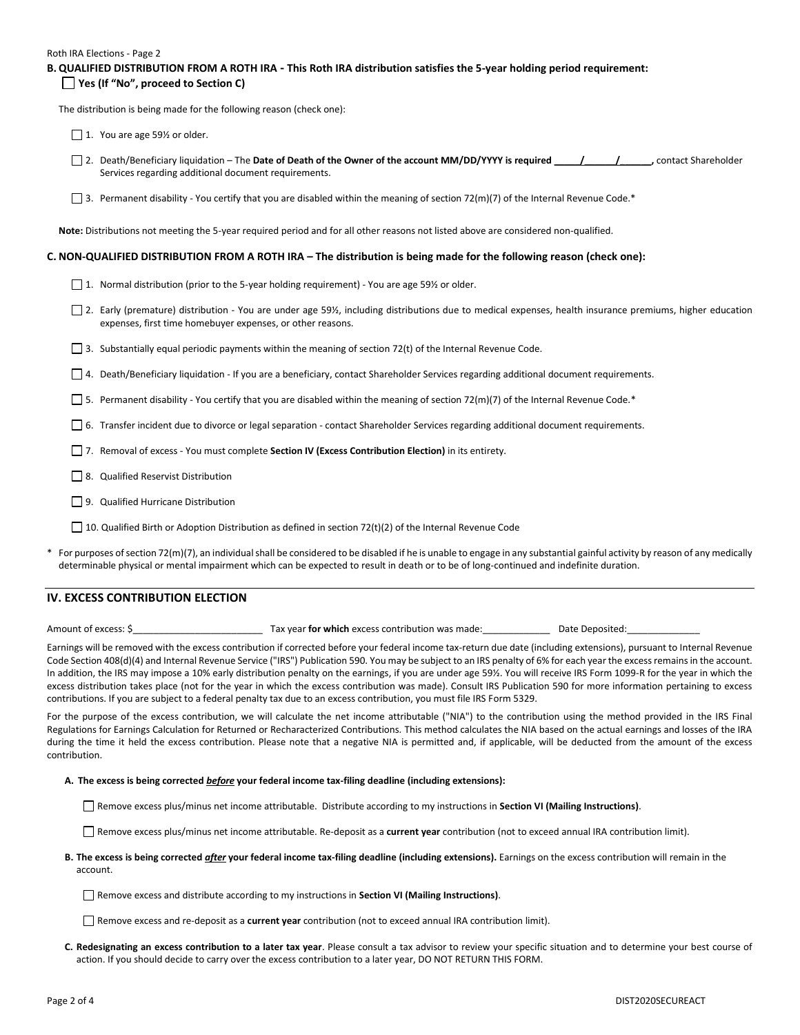#### Roth IRA Elections - Page 2

|                                       | B. QUALIFIED DISTRIBUTION FROM A ROTH IRA - This Roth IRA distribution satisfies the 5-year holding period requirement: |
|---------------------------------------|-------------------------------------------------------------------------------------------------------------------------|
| □ Yes (If "No", proceed to Section C) |                                                                                                                         |

The distribution is being made for the following reason (check one):

1. You are age 59% or older.

- 2. Death/Beneficiary liquidation The Date of Death of the Owner of the account MM/DD/YYYY is required  $\overline{1}$ , ontact Shareholder Services regarding additional document requirements.
- 3. Permanent disability You certify that you are disabled within the meaning of section 72(m)(7) of the Internal Revenue Code.\*

**Note:** Distributions not meeting the 5-year required period and for all other reasons not listed above are considered non-qualified.

### **C. NON-QUALIFIED DISTRIBUTION FROM A ROTH IRA – The distribution is being made for the following reason (check one):**

- □ 1. Normal distribution (prior to the 5-year holding requirement) You are age 59½ or older.
- □ 2. Early (premature) distribution You are under age 59½, including distributions due to medical expenses, health insurance premiums, higher education expenses, first time homebuyer expenses, or other reasons.
- 3. Substantially equal periodic payments within the meaning of section 72(t) of the Internal Revenue Code.
- □ 4. Death/Beneficiary liquidation If you are a beneficiary, contact Shareholder Services regarding additional document requirements.
- 5. Permanent disability You certify that you are disabled within the meaning of section 72(m)(7) of the Internal Revenue Code.\*
- 6. Transfer incident due to divorce or legal separation contact Shareholder Services regarding additional document requirements.
- 7. Removal of excess You must complete **Section IV (Excess Contribution Election)** in its entirety.
- 8. Qualified Reservist Distribution
- □ 9. Qualified Hurricane Distribution
- 10. Qualified Birth or Adoption Distribution as defined in section 72(t)(2) of the Internal Revenue Code
- For purposes of section 72(m)(7), an individual shall be considered to be disabled if he is unable to engage in any substantial gainful activity by reason of any medically determinable physical or mental impairment which can be expected to result in death or to be of long-continued and indefinite duration.

## **IV. EXCESS CONTRIBUTION ELECTION**

Amount of excess: \$\_\_\_\_\_\_\_\_\_\_\_\_\_\_\_\_\_\_\_\_\_\_\_\_\_ Tax year **for which** excess contribution was made:\_\_\_\_\_\_\_\_\_\_\_\_\_ Date Deposited:\_\_\_\_\_\_\_\_\_\_\_\_\_\_

Earnings will be removed with the excess contribution if corrected before your federal income tax-return due date (including extensions), pursuant to Internal Revenue Code Section 408(d)(4) and Internal Revenue Service ("IRS") Publication 590. You may be subject to an IRS penalty of 6% for each year the excess remains in the account. In addition, the IRS may impose a 10% early distribution penalty on the earnings, if you are under age 59½. You will receive IRS Form 1099-R for the year in which the excess distribution takes place (not for the year in which the excess contribution was made). Consult IRS Publication 590 for more information pertaining to excess contributions. If you are subject to a federal penalty tax due to an excess contribution, you must file IRS Form 5329.

For the purpose of the excess contribution, we will calculate the net income attributable ("NIA") to the contribution using the method provided in the IRS Final Regulations for Earnings Calculation for Returned or Recharacterized Contributions*.* This method calculates the NIA based on the actual earnings and losses of the IRA during the time it held the excess contribution. Please note that a negative NIA is permitted and, if applicable, will be deducted from the amount of the excess contribution.

#### **A. The excess is being corrected** *before* **your federal income tax-filing deadline (including extensions):**

Remove excess plus/minus net income attributable. Distribute according to my instructions in **Section VI (Mailing Instructions)**.

Remove excess plus/minus net income attributable. Re-deposit as a **current year** contribution (not to exceed annual IRA contribution limit).

**B. The excess is being corrected** *after* **your federal income tax-filing deadline (including extensions).** Earnings on the excess contribution will remain in the account.

Remove excess and distribute according to my instructions in **Section VI (Mailing Instructions)**.

Remove excess and re-deposit as a **current year** contribution (not to exceed annual IRA contribution limit).

**C. Redesignating an excess contribution to a later tax year**. Please consult a tax advisor to review your specific situation and to determine your best course of action. If you should decide to carry over the excess contribution to a later year, DO NOT RETURN THIS FORM.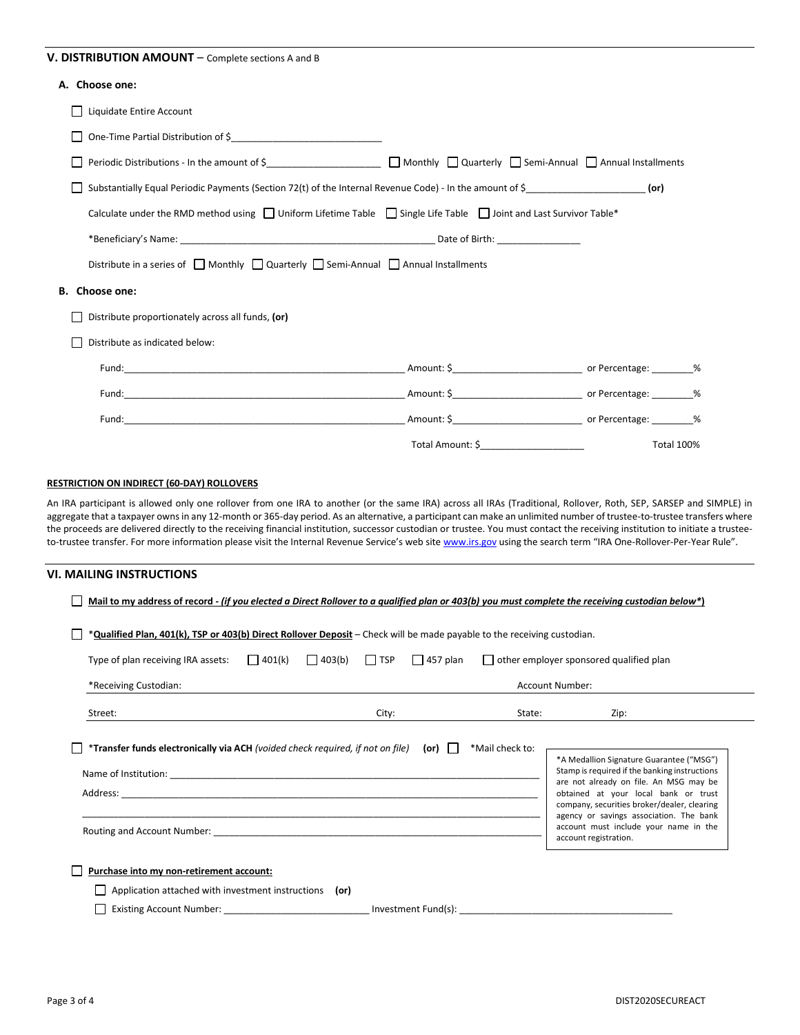## **V. DISTRIBUTION AMOUNT** – Complete sections A and B

## **A. Choose one:**

| Liquidate Entire Account                                                                                                               |                                                             |                   |  |
|----------------------------------------------------------------------------------------------------------------------------------------|-------------------------------------------------------------|-------------------|--|
|                                                                                                                                        |                                                             |                   |  |
| Periodic Distributions - In the amount of $\zeta$ ________________________ _ _ Monthly _ Quarterly _ Semi-Annual _ Annual Installments |                                                             |                   |  |
| Substantially Equal Periodic Payments (Section 72(t) of the Internal Revenue Code) - In the amount of $\zeta$ (or)                     |                                                             |                   |  |
| Calculate under the RMD method using $\Box$ Uniform Lifetime Table $\Box$ Single Life Table $\Box$ Joint and Last Survivor Table*      |                                                             |                   |  |
|                                                                                                                                        |                                                             |                   |  |
| Distribute in a series of $\Box$ Monthly $\Box$ Quarterly $\Box$ Semi-Annual $\Box$ Annual Installments                                |                                                             |                   |  |
| B. Choose one:                                                                                                                         |                                                             |                   |  |
| Distribute proportionately across all funds, (or)                                                                                      |                                                             |                   |  |
| Distribute as indicated below:                                                                                                         |                                                             |                   |  |
|                                                                                                                                        |                                                             |                   |  |
|                                                                                                                                        |                                                             |                   |  |
|                                                                                                                                        |                                                             |                   |  |
|                                                                                                                                        | Total Amount: \$<br><u> 1980 - Johann Barbara, martin d</u> | <b>Total 100%</b> |  |

## **RESTRICTION ON INDIRECT (60-DAY) ROLLOVERS**

An IRA participant is allowed only one rollover from one IRA to another (or the same IRA) across all IRAs (Traditional, Rollover, Roth, SEP, SARSEP and SIMPLE) in aggregate that a taxpayer owns in any 12-month or 365-day period. As an alternative, a participant can make an unlimited number of trustee-to-trustee transfers where the proceeds are delivered directly to the receiving financial institution, successor custodian or trustee. You must contact the receiving institution to initiate a trusteeto-trustee transfer. For more information please visit the Internal Revenue Service's web site [www.irs.gov](http://www.irs.gov/) using the search term "IRA One-Rollover-Per-Year Rule".

### **VI. MAILING INSTRUCTIONS**

|                                                                                                                         |         |                 |            |                 |                 | Mail to my address of record - (if you elected a Direct Rollover to a qualified plan or 403(b) you must complete the receiving custodian below*)                                                                                                                                                                                        |
|-------------------------------------------------------------------------------------------------------------------------|---------|-----------------|------------|-----------------|-----------------|-----------------------------------------------------------------------------------------------------------------------------------------------------------------------------------------------------------------------------------------------------------------------------------------------------------------------------------------|
| *Qualified Plan, 401(k), TSP or 403(b) Direct Rollover Deposit – Check will be made payable to the receiving custodian. |         |                 |            |                 |                 |                                                                                                                                                                                                                                                                                                                                         |
| Type of plan receiving IRA assets:                                                                                      | 1401(k) | $\Box$ 403(b)   | $\Box$ TSP | $\Box$ 457 plan |                 | other employer sponsored qualified plan                                                                                                                                                                                                                                                                                                 |
| *Receiving Custodian:                                                                                                   |         | Account Number: |            |                 |                 |                                                                                                                                                                                                                                                                                                                                         |
| Street:                                                                                                                 |         |                 | City:      |                 | State:          | Zip:                                                                                                                                                                                                                                                                                                                                    |
| *Transfer funds electronically via ACH (voided check required, if not on file)                                          |         |                 |            | $(or)$          | *Mail check to: | *A Medallion Signature Guarantee ("MSG")<br>Stamp is required if the banking instructions<br>are not already on file. An MSG may be<br>obtained at your local bank or trust<br>company, securities broker/dealer, clearing<br>agency or savings association. The bank<br>account must include your name in the<br>account registration. |
|                                                                                                                         |         |                 |            |                 |                 |                                                                                                                                                                                                                                                                                                                                         |
| Purchase into my non-retirement account:<br>Application attached with investment instructions (or)                      |         |                 |            |                 |                 |                                                                                                                                                                                                                                                                                                                                         |